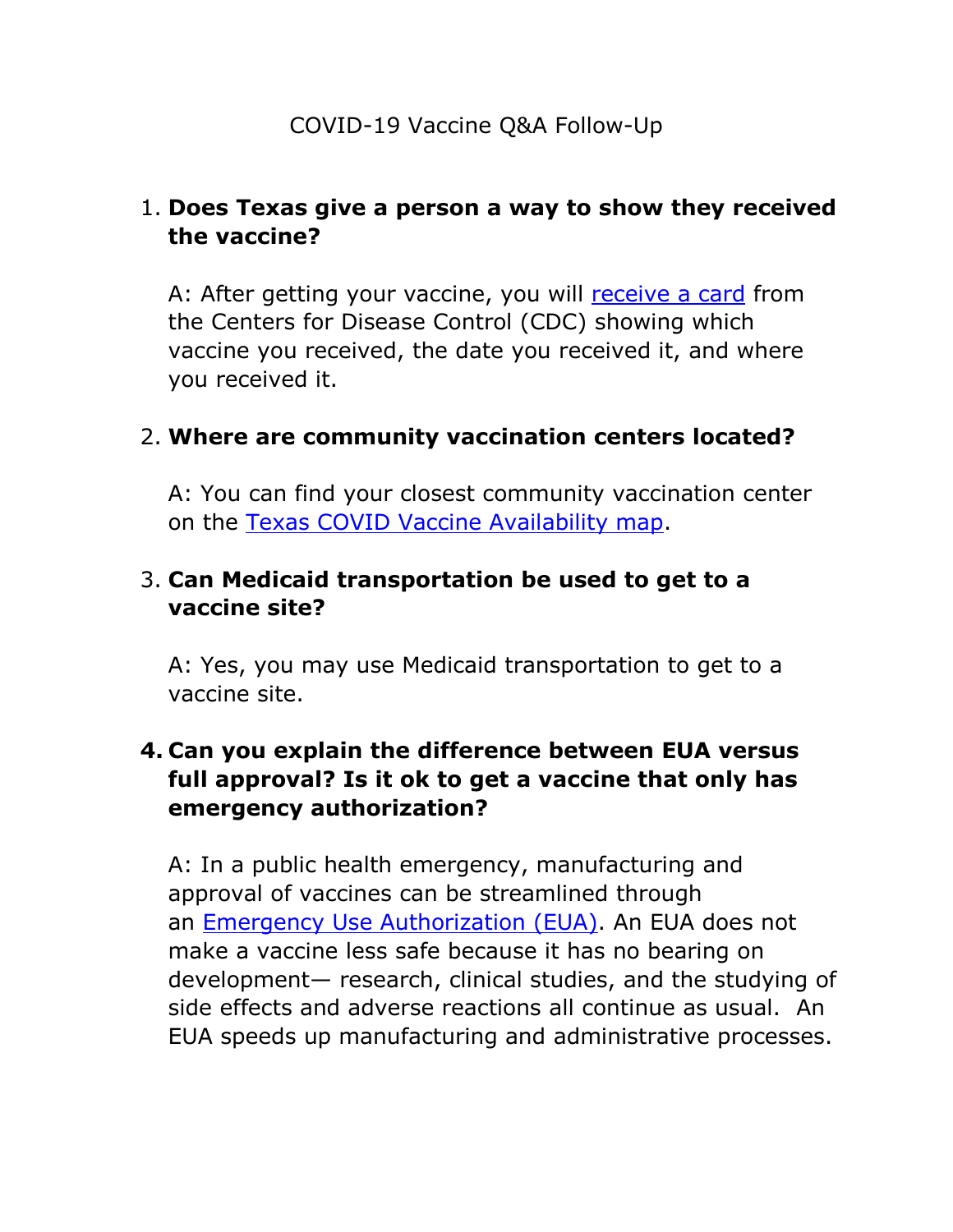## 1. **Does Texas give a person a way to show they received the vaccine?**

A: After getting your vaccine, you will [receive](https://www.cdc.gov/coronavirus/2019-ncov/vaccines/expect.html) a card from the Centers for Disease Control (CDC) showing which vaccine you received, the date you received it, and where you received it.

#### 2. **Where are community vaccination centers located?**

A: You can find your closest community vaccination center on the [Texas COVID Vaccine Availability map.](https://tdem.maps.arcgis.com/apps/webappviewer/index.html?id=3700a84845c5470cb0dc3ddace5c376b)

### 3. **Can Medicaid transportation be used to get to a vaccine site?**

A: Yes, you may use Medicaid transportation to get to a vaccine site.

# **4. Can you explain the difference between EUA versus full approval? Is it ok to get a vaccine that only has emergency authorization?**

A: In a public health emergency, manufacturing and approval of vaccines can be streamlined through an [Emergency Use Authorization \(EUA\).](https://www.fda.gov/emergency-preparedness-and-response/mcm-legal-regulatory-and-policy-framework/emergency-use-authorization) An EUA does not make a vaccine less safe because it has no bearing on development— research, clinical studies, and the studying of side effects and adverse reactions all continue as usual. An EUA speeds up manufacturing and administrative processes.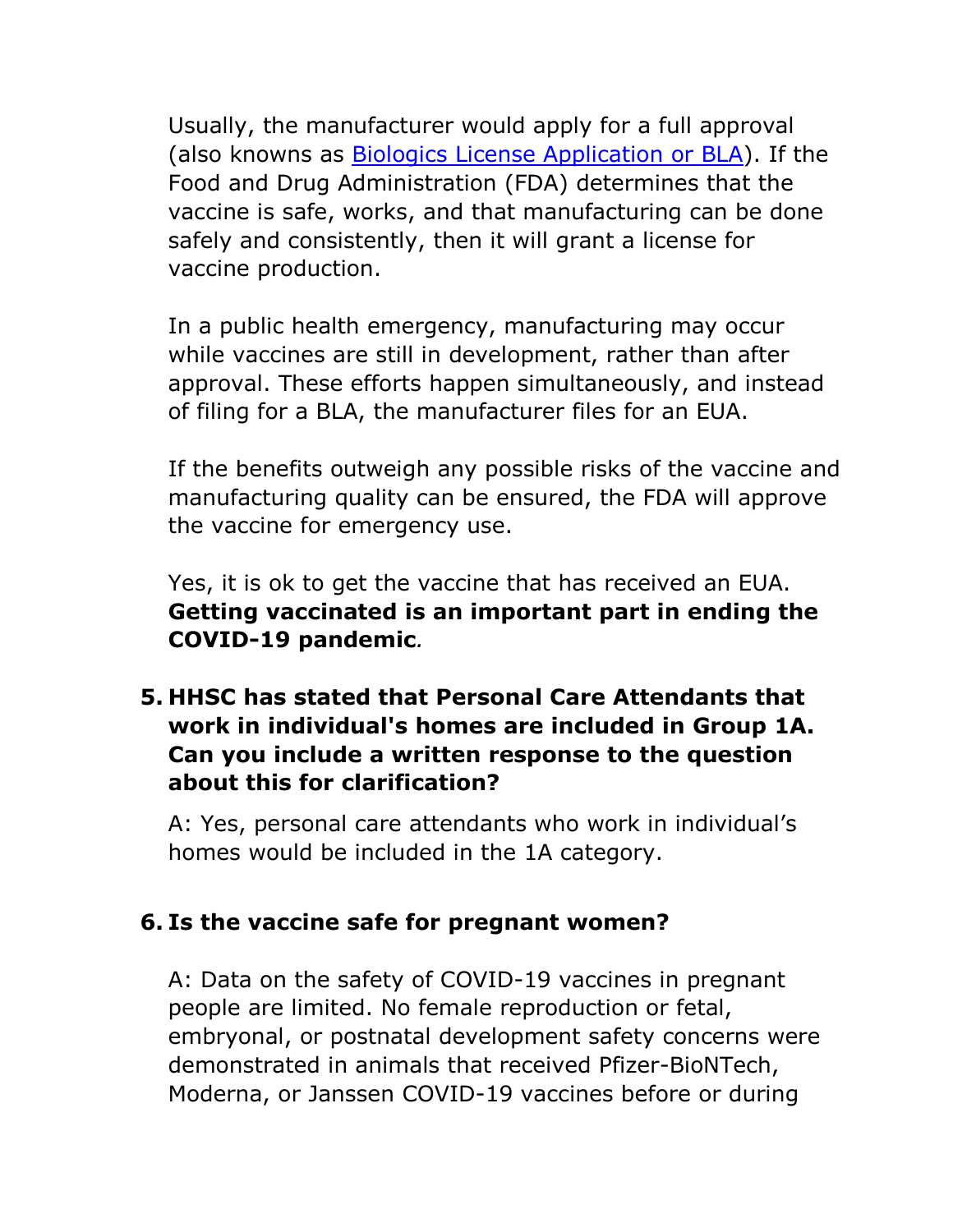Usually, the manufacturer would apply for a full approval (also knowns as [Biologics License Application or](https://www.fda.gov/vaccines-blood-biologics/development-approval-process-cber/biologics-license-applications-bla-process-cber) BLA). If the Food and Drug Administration (FDA) determines that the vaccine is safe, works, and that manufacturing can be done safely and consistently, then it will grant a license for vaccine production.

In a public health emergency, manufacturing may occur while vaccines are still in development, rather than after approval. These efforts happen simultaneously, and instead of filing for a BLA, the manufacturer files for an EUA.

If the benefits outweigh any possible risks of the vaccine and manufacturing quality can be ensured, the FDA will approve the vaccine for emergency use.

Yes, it is ok to get the vaccine that has received an EUA. **Getting vaccinated is an important part in ending the COVID-19 pandemic***.*

# **5. HHSC has stated that Personal Care Attendants that work in individual's homes are included in Group 1A. Can you include a written response to the question about this for clarification?**

A: Yes, personal care attendants who work in individual's homes would be included in the 1A category.

## **6. Is the vaccine safe for pregnant women?**

A: Data on the safety of COVID-19 vaccines in pregnant people are limited. No female reproduction or fetal, embryonal, or postnatal development safety concerns were demonstrated in animals that received Pfizer-BioNTech, Moderna, or Janssen COVID-19 vaccines before or during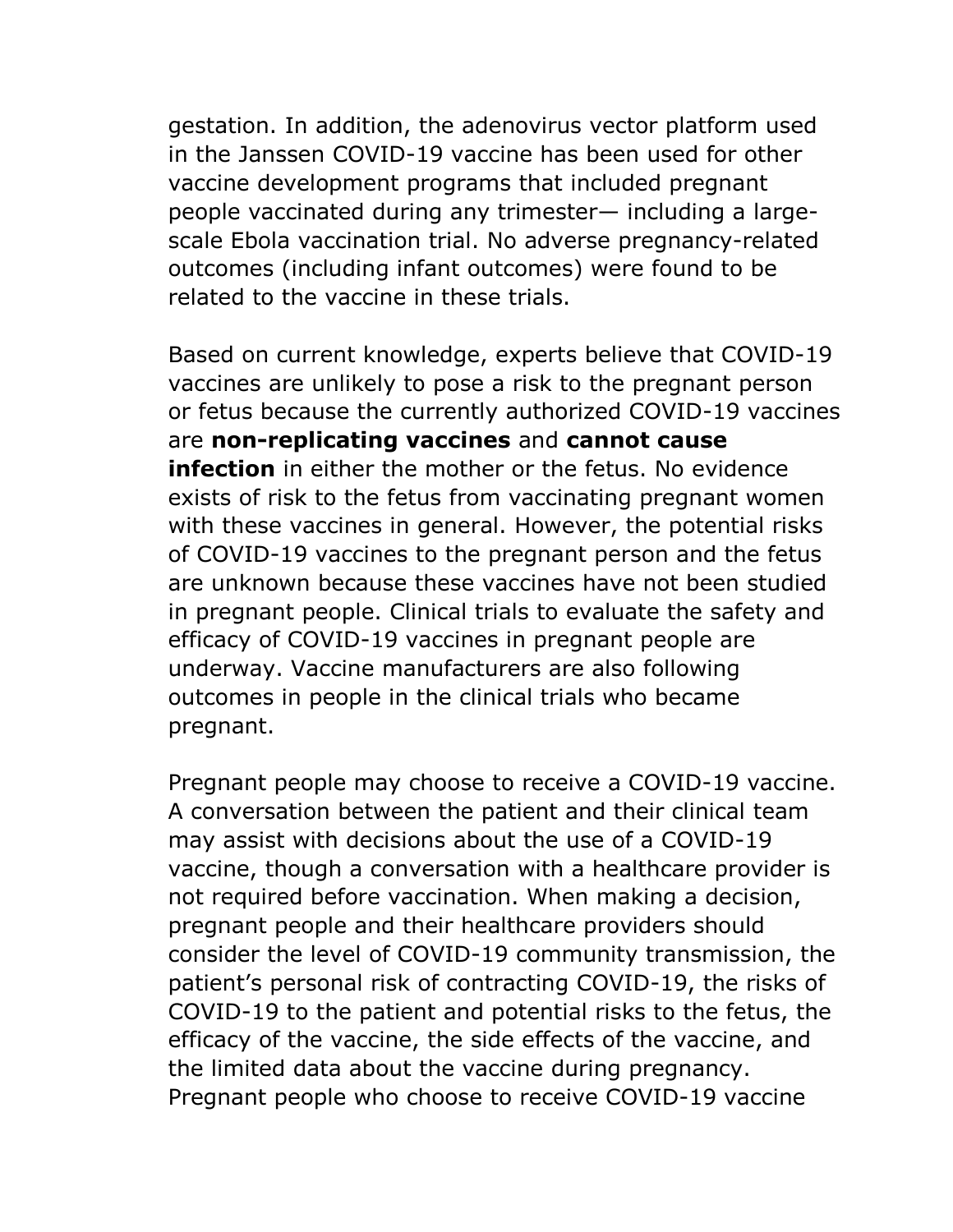gestation. In addition, the adenovirus vector platform used in the Janssen COVID-19 vaccine has been used for other vaccine development programs that included pregnant people vaccinated during any trimester— including a largescale Ebola vaccination trial. No adverse pregnancy-related outcomes (including infant outcomes) were found to be related to the vaccine in these trials.

Based on current knowledge, experts believe that COVID-19 vaccines are unlikely to pose a risk to the pregnant person or fetus because the currently authorized COVID-19 vaccines are **non-replicating vaccines** and **cannot cause infection** in either the mother or the fetus. No evidence exists of risk to the fetus from vaccinating pregnant women with these vaccines in general. However, the potential risks of COVID-19 vaccines to the pregnant person and the fetus are unknown because these vaccines have not been studied in pregnant people. Clinical trials to evaluate the safety and efficacy of COVID-19 vaccines in pregnant people are underway. Vaccine manufacturers are also following outcomes in people in the clinical trials who became pregnant.

Pregnant people may choose to receive a COVID-19 vaccine. A conversation between the patient and their clinical team may assist with decisions about the use of a COVID-19 vaccine, though a conversation with a healthcare provider is not required before vaccination. When making a decision, pregnant people and their healthcare providers should consider the level of COVID-19 community transmission, the patient's personal risk of contracting COVID-19, the risks of COVID-19 to the patient and potential risks to the fetus, the efficacy of the vaccine, the side effects of the vaccine, and the limited data about the vaccine during pregnancy. Pregnant people who choose to receive COVID-19 vaccine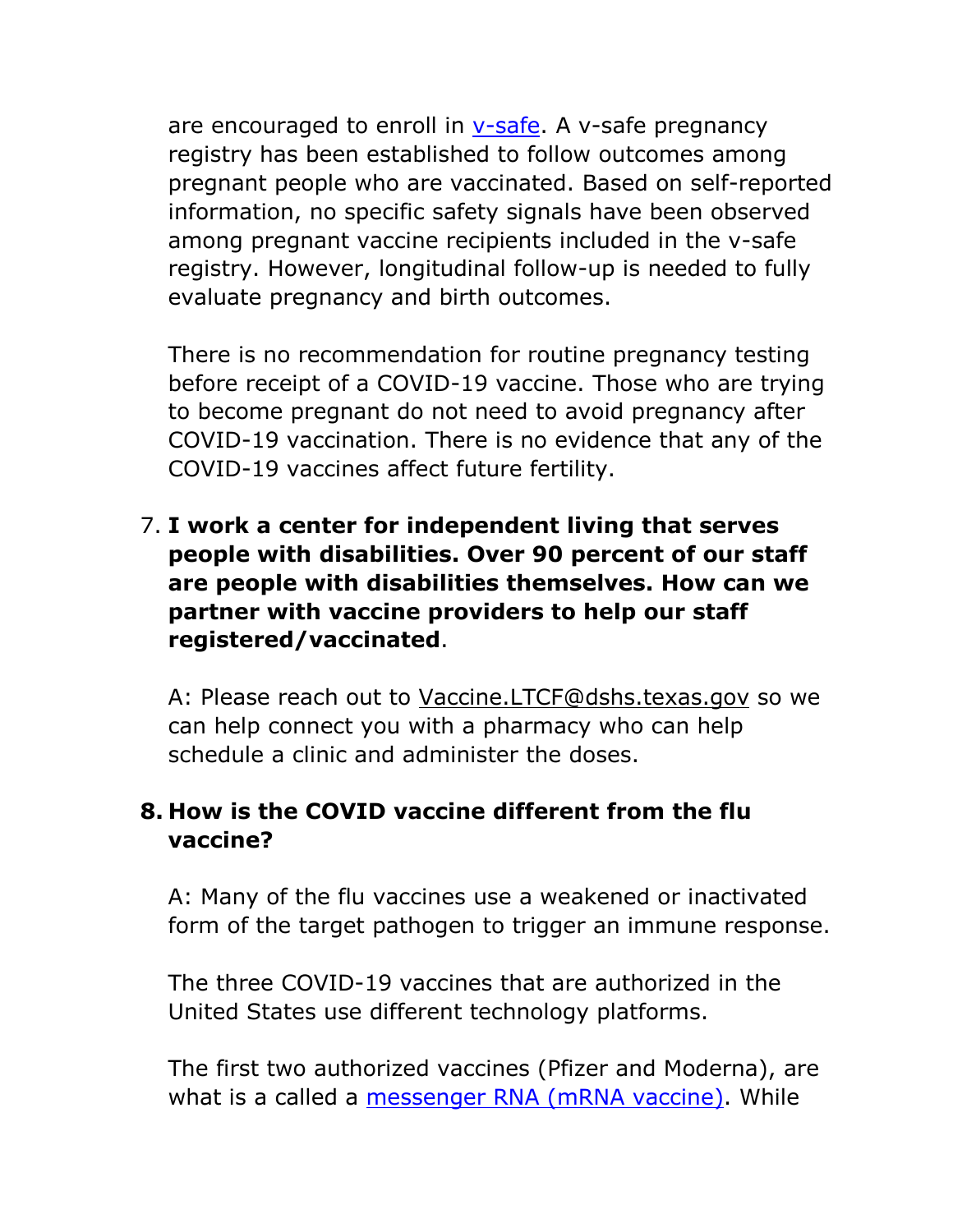are encouraged to enroll in  $v$ -safe. A v-safe pregnancy registry has been established to follow outcomes among pregnant people who are vaccinated. Based on self-reported information, no specific safety signals have been observed among pregnant vaccine recipients included in the v-safe registry. However, longitudinal follow-up is needed to fully evaluate pregnancy and birth outcomes.

There is no recommendation for routine pregnancy testing before receipt of a COVID-19 vaccine. Those who are trying to become pregnant do not need to avoid pregnancy after COVID-19 vaccination. There is no evidence that any of the COVID-19 vaccines affect future fertility.

7. **I work a center for independent living that serves people with disabilities. Over 90 percent of our staff are people with disabilities themselves. How can we partner with vaccine providers to help our staff registered/vaccinated**.

A: Please reach out to [Vaccine.LTCF@dshs.texas.gov](mailto:Vaccine.LTCF@dshs.texas.gov) so we can help connect you with a pharmacy who can help schedule a clinic and administer the doses.

# **8. How is the COVID vaccine different from the flu vaccine?**

A: Many of the flu vaccines use a weakened or inactivated form of the target pathogen to trigger an immune response.

The three COVID-19 vaccines that are authorized in the United States use different technology platforms.

The first two authorized vaccines (Pfizer and Moderna), are what is a called a [messenger RNA \(mRNA vaccine\).](https://www.cdc.gov/coronavirus/2019-ncov/vaccines/different-vaccines/mrna.html) While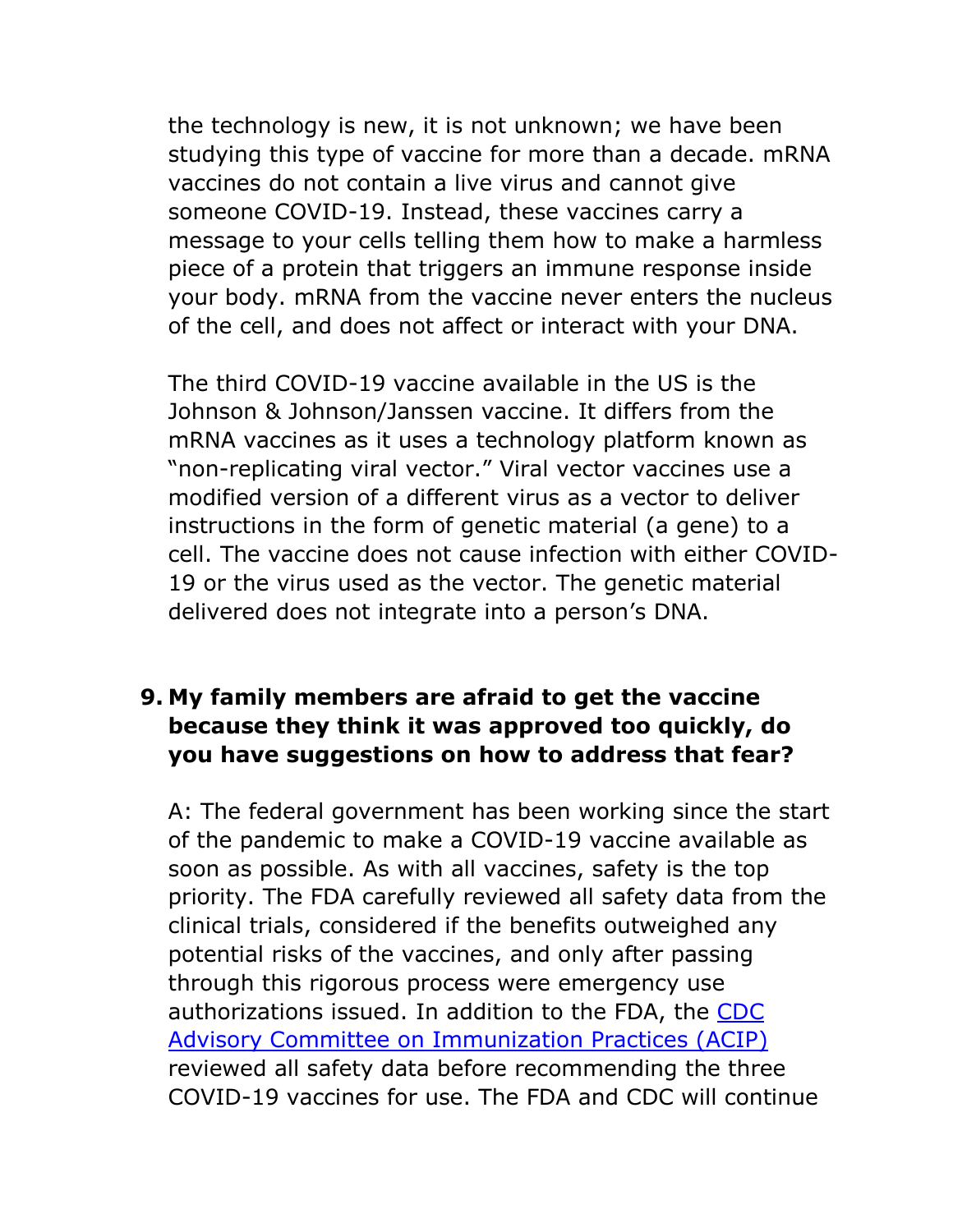the technology is new, it is not unknown; we have been studying this type of vaccine for more than a decade. mRNA vaccines do not contain a live virus and cannot give someone COVID-19. Instead, these vaccines carry a message to your cells telling them how to make a harmless piece of a protein that triggers an immune response inside your body. mRNA from the vaccine never enters the nucleus of the cell, and does not affect or interact with your DNA.

The third COVID-19 vaccine available in the US is the Johnson & Johnson/Janssen vaccine. It differs from the mRNA vaccines as it uses a technology platform known as "non-replicating viral vector." Viral vector vaccines use a modified version of a different virus as a vector to deliver instructions in the form of genetic material (a gene) to a cell. The vaccine does not cause infection with either COVID-19 or the virus used as the vector. The genetic material delivered does not integrate into a person's DNA.

## **9. My family members are afraid to get the vaccine because they think it was approved too quickly, do you have suggestions on how to address that fear?**

A: The federal government has been working since the start of the pandemic to make a COVID-19 vaccine available as soon as possible. As with all vaccines, safety is the top priority. The FDA carefully reviewed all safety data from the clinical trials, considered if the benefits outweighed any potential risks of the vaccines, and only after passing through this rigorous process were emergency use authorizations issued. In addition to the FDA, the [CDC](https://www.cdc.gov/vaccines/acip/index.html)  [Advisory Committee on Immunization Practices \(ACIP\)](https://www.cdc.gov/vaccines/acip/index.html) reviewed all safety data before recommending the three COVID-19 vaccines for use. The FDA and CDC will continue